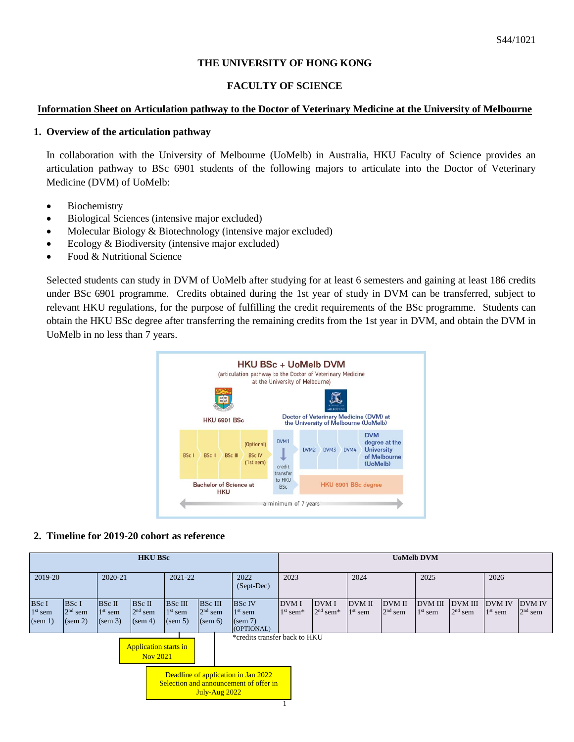# **THE UNIVERSITY OF HONG KONG**

# **FACULTY OF SCIENCE**

# **Information Sheet on Articulation pathway to the Doctor of Veterinary Medicine at the University of Melbourne**

# **1. Overview of the articulation pathway**

In collaboration with the University of Melbourne (UoMelb) in Australia, HKU Faculty of Science provides an articulation pathway to BSc 6901 students of the following majors to articulate into the Doctor of Veterinary Medicine (DVM) of UoMelb:

- Biochemistry
- Biological Sciences (intensive major excluded)
- Molecular Biology & Biotechnology (intensive major excluded)
- Ecology & Biodiversity (intensive major excluded)
- Food & Nutritional Science

Selected students can study in DVM of UoMelb after studying for at least 6 semesters and gaining at least 186 credits under BSc 6901 programme. Credits obtained during the 1st year of study in DVM can be transferred, subject to relevant HKU regulations, for the purpose of fulfilling the credit requirements of the BSc programme. Students can obtain the HKU BSc degree after transferring the remaining credits from the 1st year in DVM, and obtain the DVM in UoMelb in no less than 7 years.



## **2. Timeline for 2019-20 cohort as reference**

| <b>HKU BSc</b>                                                                                 |                           |                      |                     |                             |                             |                                    | <b>UoMelb DVM</b>                      |                                 |                            |                            |                             |                             |                            |                            |
|------------------------------------------------------------------------------------------------|---------------------------|----------------------|---------------------|-----------------------------|-----------------------------|------------------------------------|----------------------------------------|---------------------------------|----------------------------|----------------------------|-----------------------------|-----------------------------|----------------------------|----------------------------|
| 2019-20                                                                                        |                           | 2020-21              |                     | 2021-22                     |                             | 2022<br>(Sept-Dec)                 | 2023                                   |                                 | 2024                       |                            | 2025                        |                             | 2026                       |                            |
| <b>BSc I</b>                                                                                   | <b>BSc I</b><br>$2nd$ sem | BSc II               | BSc II<br>$2nd$ sem | <b>BSc III</b><br>$1st$ sem | <b>BSc III</b><br>$2nd$ sem | <b>BSc IV</b>                      | <b>DVM I</b><br>$1st$ sem <sup>*</sup> | DVM I<br>$2nd$ sem <sup>*</sup> | <b>DVM II</b><br>$1st$ sem | <b>DVM II</b><br>$2nd$ sem | <b>DVM III</b><br>$1st$ sem | <b>DVM III</b><br>$2nd$ sem | <b>DVM IV</b><br>$1st$ sem | <b>DVM IV</b><br>$2nd$ sem |
| $1st$ sem<br>(sem 1)                                                                           | (sem 2)                   | $1st$ sem<br>(sem 3) | (sem 4)             | (sem 5)                     | (sem 6)                     | $1st$ sem<br>(sem 7)<br>(OPTIONAL) |                                        |                                 |                            |                            |                             |                             |                            |                            |
| *credits transfer back to HKU<br><b>Application starts in</b><br>Nov 2021                      |                           |                      |                     |                             |                             |                                    |                                        |                                 |                            |                            |                             |                             |                            |                            |
| Deadline of application in Jan 2022<br>Selection and announcement of offer in<br>July-Aug 2022 |                           |                      |                     |                             |                             |                                    |                                        |                                 |                            |                            |                             |                             |                            |                            |
|                                                                                                |                           |                      |                     |                             |                             |                                    |                                        |                                 |                            |                            |                             |                             |                            |                            |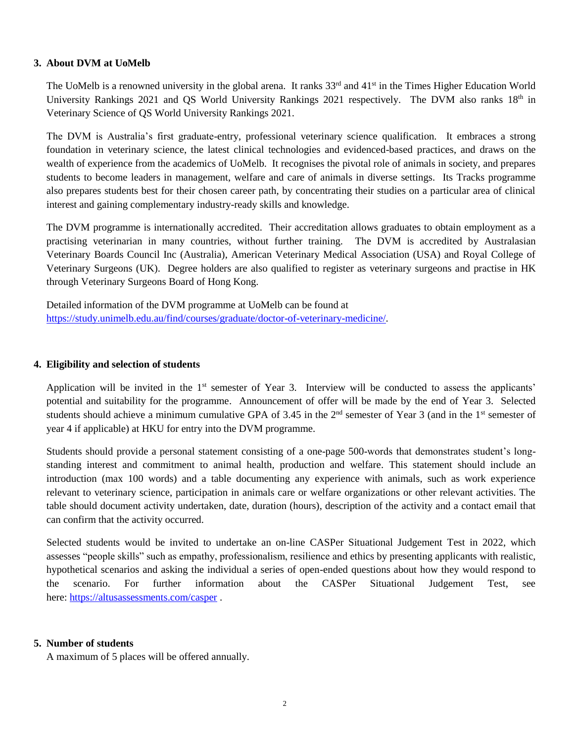## **3. About DVM at UoMelb**

The UoMelb is a renowned university in the global arena. It ranks 33<sup>rd</sup> and 41<sup>st</sup> in the Times Higher Education World University Rankings 2021 and QS World University Rankings 2021 respectively. The DVM also ranks 18th in Veterinary Science of QS World University Rankings 2021.

The DVM is Australia's first graduate-entry, professional veterinary science qualification. It embraces a strong foundation in veterinary science, the latest clinical technologies and evidenced-based practices, and draws on the wealth of experience from the academics of UoMelb. It recognises the pivotal role of animals in society, and prepares students to become leaders in management, welfare and care of animals in diverse settings. Its Tracks programme also prepares students best for their chosen career path, by concentrating their studies on a particular area of clinical interest and gaining complementary industry-ready skills and knowledge.

The DVM programme is internationally accredited. Their accreditation allows graduates to obtain employment as a practising veterinarian in many countries, without further training. The DVM is accredited by Australasian Veterinary Boards Council Inc (Australia), American Veterinary Medical Association (USA) and Royal College of Veterinary Surgeons (UK). Degree holders are also qualified to register as veterinary surgeons and practise in HK through Veterinary Surgeons Board of Hong Kong.

Detailed information of the DVM programme at UoMelb can be found at [https://study.unimelb.edu.au/find/courses/graduate/doctor-of-veterinary-medicine/.](https://study.unimelb.edu.au/find/courses/graduate/doctor-of-veterinary-medicine/)

#### **4. Eligibility and selection of students**

Application will be invited in the  $1<sup>st</sup>$  semester of Year 3. Interview will be conducted to assess the applicants' potential and suitability for the programme. Announcement of offer will be made by the end of Year 3. Selected students should achieve a minimum cumulative GPA of 3.45 in the  $2<sup>nd</sup>$  semester of Year 3 (and in the 1<sup>st</sup> semester of year 4 if applicable) at HKU for entry into the DVM programme.

Students should provide a personal statement consisting of a one-page 500-words that demonstrates student's longstanding interest and commitment to animal health, production and welfare. This statement should include an introduction (max 100 words) and a table documenting any experience with animals, such as work experience relevant to veterinary science, participation in animals care or welfare organizations or other relevant activities. The table should document activity undertaken, date, duration (hours), description of the activity and a contact email that can confirm that the activity occurred.

Selected students would be invited to undertake an on-line CASPer Situational Judgement Test in 2022, which assesses "people skills" such as empathy, professionalism, resilience and ethics by presenting applicants with realistic, hypothetical scenarios and asking the individual a series of open-ended questions about how they would respond to the scenario. For further information about the CASPer Situational Judgement Test, see here: <https://altusassessments.com/casper> .

## **5. Number of students**

A maximum of 5 places will be offered annually.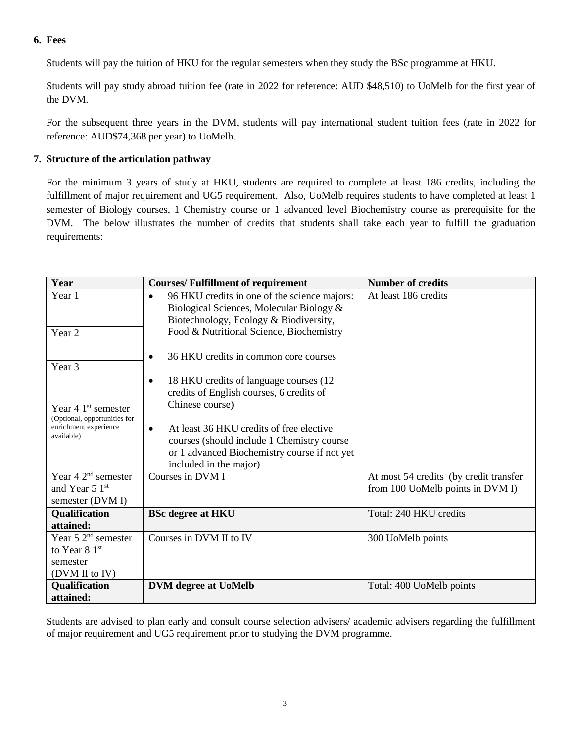# **6. Fees**

Students will pay the tuition of HKU for the regular semesters when they study the BSc programme at HKU.

Students will pay study abroad tuition fee (rate in 2022 for reference: AUD \$48,510) to UoMelb for the first year of the DVM.

For the subsequent three years in the DVM, students will pay international student tuition fees (rate in 2022 for reference: AUD\$74,368 per year) to UoMelb.

# **7. Structure of the articulation pathway**

For the minimum 3 years of study at HKU, students are required to complete at least 186 credits, including the fulfillment of major requirement and UG5 requirement. Also, UoMelb requires students to have completed at least 1 semester of Biology courses, 1 Chemistry course or 1 advanced level Biochemistry course as prerequisite for the DVM. The below illustrates the number of credits that students shall take each year to fulfill the graduation requirements:

| Year                                                  | <b>Courses/Fulfillment of requirement</b>                                                                                                                                     | <b>Number of credits</b>               |
|-------------------------------------------------------|-------------------------------------------------------------------------------------------------------------------------------------------------------------------------------|----------------------------------------|
| Year 1                                                | 96 HKU credits in one of the science majors:<br>$\bullet$<br>Biological Sciences, Molecular Biology &<br>Biotechnology, Ecology & Biodiversity,                               | At least 186 credits                   |
| Year 2                                                | Food & Nutritional Science, Biochemistry                                                                                                                                      |                                        |
| Year <sub>3</sub>                                     | 36 HKU credits in common core courses<br>$\bullet$                                                                                                                            |                                        |
|                                                       | 18 HKU credits of language courses (12)<br>$\bullet$<br>credits of English courses, 6 credits of                                                                              |                                        |
| Year 4 $1st$ semester<br>(Optional, opportunities for | Chinese course)                                                                                                                                                               |                                        |
| enrichment experience<br>available)                   | At least 36 HKU credits of free elective<br>$\bullet$<br>courses (should include 1 Chemistry course<br>or 1 advanced Biochemistry course if not yet<br>included in the major) |                                        |
| Year $42nd$ semester                                  | Courses in DVM I                                                                                                                                                              | At most 54 credits (by credit transfer |
| and Year 5 1st<br>semester (DVM I)                    |                                                                                                                                                                               | from 100 UoMelb points in DVM I)       |
| <b>Qualification</b><br>attained:                     | <b>BSc degree at HKU</b>                                                                                                                                                      | Total: 240 HKU credits                 |
| Year 5 $2nd$ semester                                 | Courses in DVM II to IV                                                                                                                                                       | 300 UoMelb points                      |
| to Year $81st$                                        |                                                                                                                                                                               |                                        |
| semester                                              |                                                                                                                                                                               |                                        |
| (DVM II to IV)                                        |                                                                                                                                                                               |                                        |
| Qualification                                         | <b>DVM</b> degree at UoMelb                                                                                                                                                   | Total: 400 UoMelb points               |
| attained:                                             |                                                                                                                                                                               |                                        |

Students are advised to plan early and consult course selection advisers/ academic advisers regarding the fulfillment of major requirement and UG5 requirement prior to studying the DVM programme.